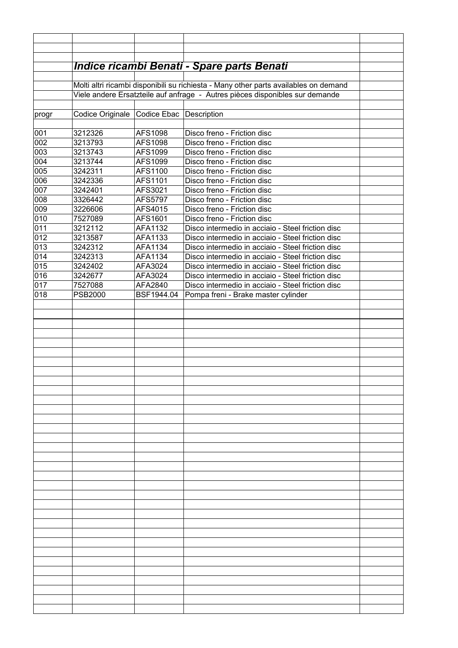|                 | <b>Indice ricambi Benati - Spare parts Benati</b>                                    |                         |                                                                                                        |  |  |  |
|-----------------|--------------------------------------------------------------------------------------|-------------------------|--------------------------------------------------------------------------------------------------------|--|--|--|
|                 |                                                                                      |                         |                                                                                                        |  |  |  |
|                 | Molti altri ricambi disponibili su richiesta - Many other parts availables on demand |                         |                                                                                                        |  |  |  |
|                 | Viele andere Ersatzteile auf anfrage - Autres pièces disponibles sur demande         |                         |                                                                                                        |  |  |  |
| progr           | Codice Originale                                                                     | Codice Ebac Description |                                                                                                        |  |  |  |
|                 |                                                                                      |                         |                                                                                                        |  |  |  |
| 001             | 3212326                                                                              | AFS1098                 | Disco freno - Friction disc                                                                            |  |  |  |
| 002             | 3213793                                                                              | <b>AFS1098</b>          | Disco freno - Friction disc                                                                            |  |  |  |
| 003             | 3213743                                                                              | AFS1099                 | Disco freno - Friction disc                                                                            |  |  |  |
| 004             | 3213744                                                                              | AFS1099                 | Disco freno - Friction disc                                                                            |  |  |  |
| 005             | 3242311                                                                              | AFS1100                 | Disco freno - Friction disc                                                                            |  |  |  |
| 0 <sub>06</sub> | 3242336                                                                              | AFS1101                 | Disco freno - Friction disc                                                                            |  |  |  |
| 007             | 3242401                                                                              | AFS3021                 | Disco freno - Friction disc                                                                            |  |  |  |
| 008             | 3326442                                                                              | <b>AFS5797</b>          | Disco freno - Friction disc                                                                            |  |  |  |
| 009             | 3226606                                                                              | AFS4015                 | Disco freno - Friction disc                                                                            |  |  |  |
| 010             | 7527089                                                                              | AFS1601                 | Disco freno - Friction disc                                                                            |  |  |  |
| 011             | 3212112                                                                              | AFA1132                 | Disco intermedio in acciaio - Steel friction disc                                                      |  |  |  |
| 012             | 3213587                                                                              | AFA1133                 | Disco intermedio in acciaio - Steel friction disc                                                      |  |  |  |
| 013             | 3242312                                                                              | AFA1134                 | Disco intermedio in acciaio - Steel friction disc                                                      |  |  |  |
| 014<br>015      | 3242313<br>3242402                                                                   | AFA1134<br>AFA3024      | Disco intermedio in acciaio - Steel friction disc<br>Disco intermedio in acciaio - Steel friction disc |  |  |  |
| 016             | 3242677                                                                              | AFA3024                 | Disco intermedio in acciaio - Steel friction disc                                                      |  |  |  |
| 017             | 7527088                                                                              | AFA2840                 | Disco intermedio in acciaio - Steel friction disc                                                      |  |  |  |
| 018             | <b>PSB2000</b>                                                                       | BSF1944.04              | Pompa freni - Brake master cylinder                                                                    |  |  |  |
|                 |                                                                                      |                         |                                                                                                        |  |  |  |
|                 |                                                                                      |                         |                                                                                                        |  |  |  |
|                 |                                                                                      |                         |                                                                                                        |  |  |  |
|                 |                                                                                      |                         |                                                                                                        |  |  |  |
|                 |                                                                                      |                         |                                                                                                        |  |  |  |
|                 |                                                                                      |                         |                                                                                                        |  |  |  |
|                 |                                                                                      |                         |                                                                                                        |  |  |  |
|                 |                                                                                      |                         |                                                                                                        |  |  |  |
|                 |                                                                                      |                         |                                                                                                        |  |  |  |
|                 |                                                                                      |                         |                                                                                                        |  |  |  |
|                 |                                                                                      |                         |                                                                                                        |  |  |  |
|                 |                                                                                      |                         |                                                                                                        |  |  |  |
|                 |                                                                                      |                         |                                                                                                        |  |  |  |
|                 |                                                                                      |                         |                                                                                                        |  |  |  |
|                 |                                                                                      |                         |                                                                                                        |  |  |  |
|                 |                                                                                      |                         |                                                                                                        |  |  |  |
|                 |                                                                                      |                         |                                                                                                        |  |  |  |
|                 |                                                                                      |                         |                                                                                                        |  |  |  |
|                 |                                                                                      |                         |                                                                                                        |  |  |  |
|                 |                                                                                      |                         |                                                                                                        |  |  |  |
|                 |                                                                                      |                         |                                                                                                        |  |  |  |
|                 |                                                                                      |                         |                                                                                                        |  |  |  |
|                 |                                                                                      |                         |                                                                                                        |  |  |  |
|                 |                                                                                      |                         |                                                                                                        |  |  |  |
|                 |                                                                                      |                         |                                                                                                        |  |  |  |
|                 |                                                                                      |                         |                                                                                                        |  |  |  |
|                 |                                                                                      |                         |                                                                                                        |  |  |  |
|                 |                                                                                      |                         |                                                                                                        |  |  |  |
|                 |                                                                                      |                         |                                                                                                        |  |  |  |
|                 |                                                                                      |                         |                                                                                                        |  |  |  |
|                 |                                                                                      |                         |                                                                                                        |  |  |  |
|                 |                                                                                      |                         |                                                                                                        |  |  |  |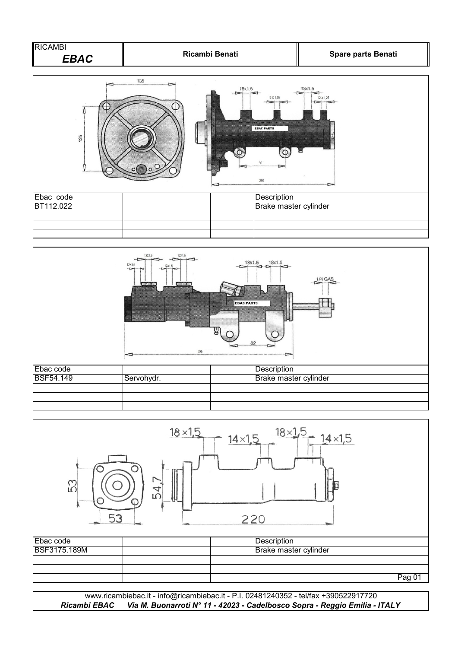| <b>RICAMBI</b><br>Ricambi Benati<br><b>EBAC</b> |             |                                                                                             | Spare parts Benati                        |
|-------------------------------------------------|-------------|---------------------------------------------------------------------------------------------|-------------------------------------------|
| 125                                             | 135<br>سيست | 18x1.5<br>12 X 1,25<br>$-1$ $-1$<br><b>EBAC PARTS</b><br>$\Omega$<br>90 <sup>°</sup><br>260 | 18x1.5<br>$-1$<br>12 X 1,25<br>$C^*$<br>▫ |
| Ebac code                                       |             | Description                                                                                 |                                           |
| BT112.022                                       |             | Brake master cylinder                                                                       |                                           |
|                                                 |             |                                                                                             |                                           |





*Ricambi EBAC Via M. Buonarroti N° 11 - 42023 - Cadelbosco Sopra - Reggio Emilia - ITALY* www.ricambiebac.it - info@ricambiebac.it - P.I. 02481240352 - tel/fax +390522917720